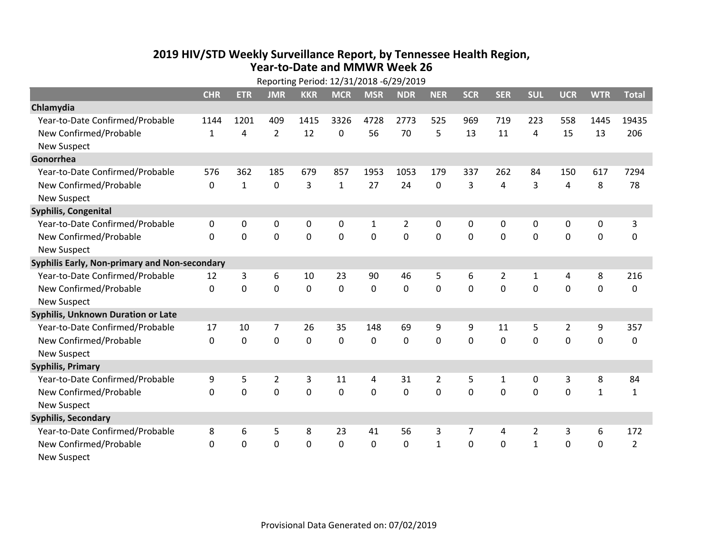## **2019 HIV /STD Weekly Surveillance Report, by Tennessee Health Region, Year‐to‐Date and MMWR Week 26** Reporting Period: 12/31/2018 ‐6/29/2019

| Reporting Period: 12/31/2018 -6/29/2019       |              |              |                |            |              |             |                |                |              |                |              |                |              |                |
|-----------------------------------------------|--------------|--------------|----------------|------------|--------------|-------------|----------------|----------------|--------------|----------------|--------------|----------------|--------------|----------------|
|                                               | <b>CHR</b>   | <b>ETR</b>   | <b>JMR</b>     | <b>KKR</b> | <b>MCR</b>   | <b>MSR</b>  | <b>NDR</b>     | <b>NER</b>     | <b>SCR</b>   | <b>SER</b>     | <b>SUL</b>   | <b>UCR</b>     | <b>WTR</b>   | <b>Total</b>   |
| Chlamydia                                     |              |              |                |            |              |             |                |                |              |                |              |                |              |                |
| Year-to-Date Confirmed/Probable               | 1144         | 1201         | 409            | 1415       | 3326         | 4728        | 2773           | 525            | 969          | 719            | 223          | 558            | 1445         | 19435          |
| New Confirmed/Probable                        | $\mathbf{1}$ | 4            | $\overline{2}$ | 12         | 0            | 56          | 70             | 5              | 13           | 11             | 4            | 15             | 13           | 206            |
| <b>New Suspect</b>                            |              |              |                |            |              |             |                |                |              |                |              |                |              |                |
| Gonorrhea                                     |              |              |                |            |              |             |                |                |              |                |              |                |              |                |
| Year-to-Date Confirmed/Probable               | 576          | 362          | 185            | 679        | 857          | 1953        | 1053           | 179            | 337          | 262            | 84           | 150            | 617          | 7294           |
| New Confirmed/Probable                        | 0            | $\mathbf{1}$ | $\mathbf 0$    | 3          | $\mathbf{1}$ | 27          | 24             | 0              | 3            | 4              | 3            | 4              | 8            | 78             |
| <b>New Suspect</b>                            |              |              |                |            |              |             |                |                |              |                |              |                |              |                |
| <b>Syphilis, Congenital</b>                   |              |              |                |            |              |             |                |                |              |                |              |                |              |                |
| Year-to-Date Confirmed/Probable               | 0            | 0            | $\mathbf 0$    | 0          | $\mathbf 0$  | 1           | $\overline{2}$ | 0              | 0            | 0              | 0            | 0              | 0            | 3              |
| New Confirmed/Probable                        | $\mathbf{0}$ | $\mathbf 0$  | 0              | 0          | $\mathbf 0$  | $\mathbf 0$ | 0              | $\mathbf 0$    | $\mathbf{0}$ | 0              | 0            | 0              | $\mathbf 0$  | 0              |
| <b>New Suspect</b>                            |              |              |                |            |              |             |                |                |              |                |              |                |              |                |
| Syphilis Early, Non-primary and Non-secondary |              |              |                |            |              |             |                |                |              |                |              |                |              |                |
| Year-to-Date Confirmed/Probable               | 12           | 3            | 6              | 10         | 23           | 90          | 46             | 5              | 6            | $\overline{2}$ | 1            | 4              | 8            | 216            |
| New Confirmed/Probable                        | $\Omega$     | 0            | $\Omega$       | 0          | $\mathbf 0$  | 0           | $\Omega$       | $\Omega$       | $\Omega$     | $\Omega$       | $\Omega$     | $\Omega$       | $\mathbf 0$  | 0              |
| <b>New Suspect</b>                            |              |              |                |            |              |             |                |                |              |                |              |                |              |                |
| Syphilis, Unknown Duration or Late            |              |              |                |            |              |             |                |                |              |                |              |                |              |                |
| Year-to-Date Confirmed/Probable               | 17           | 10           | 7              | 26         | 35           | 148         | 69             | 9              | 9            | 11             | 5            | $\overline{2}$ | 9            | 357            |
| New Confirmed/Probable                        | $\Omega$     | $\mathbf 0$  | 0              | 0          | $\mathbf 0$  | 0           | $\Omega$       | $\Omega$       | $\Omega$     | $\Omega$       | $\Omega$     | 0              | $\mathbf 0$  | 0              |
| <b>New Suspect</b>                            |              |              |                |            |              |             |                |                |              |                |              |                |              |                |
| <b>Syphilis, Primary</b>                      |              |              |                |            |              |             |                |                |              |                |              |                |              |                |
| Year-to-Date Confirmed/Probable               | 9            | 5            | $\overline{2}$ | 3          | 11           | 4           | 31             | $\overline{2}$ | 5            | $\mathbf{1}$   | 0            | 3              | 8            | 84             |
| New Confirmed/Probable                        | $\Omega$     | 0            | 0              | 0          | $\mathbf 0$  | 0           | 0              | $\Omega$       | $\Omega$     | $\Omega$       | $\Omega$     | $\Omega$       | $\mathbf{1}$ | $\mathbf{1}$   |
| <b>New Suspect</b>                            |              |              |                |            |              |             |                |                |              |                |              |                |              |                |
| <b>Syphilis, Secondary</b>                    |              |              |                |            |              |             |                |                |              |                |              |                |              |                |
| Year-to-Date Confirmed/Probable               | 8            | 6            | 5              | 8          | 23           | 41          | 56             | 3              | 7            | 4              | 2            | 3              | 6            | 172            |
| New Confirmed/Probable                        | 0            | 0            | 0              | 0          | $\mathbf 0$  | 0           | 0              | $\mathbf{1}$   | $\Omega$     | 0              | $\mathbf{1}$ | 0              | $\mathbf 0$  | $\overline{2}$ |
| <b>New Suspect</b>                            |              |              |                |            |              |             |                |                |              |                |              |                |              |                |